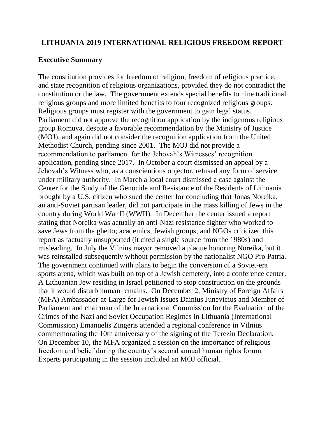#### **LITHUANIA 2019 INTERNATIONAL RELIGIOUS FREEDOM REPORT**

#### **Executive Summary**

The constitution provides for freedom of religion, freedom of religious practice, and state recognition of religious organizations, provided they do not contradict the constitution or the law. The government extends special benefits to nine traditional religious groups and more limited benefits to four recognized religious groups. Religious groups must register with the government to gain legal status. Parliament did not approve the recognition application by the indigenous religious group Romuva, despite a favorable recommendation by the Ministry of Justice (MOJ), and again did not consider the recognition application from the United Methodist Church, pending since 2001. The MOJ did not provide a recommendation to parliament for the Jehovah's Witnesses' recognition application, pending since 2017. In October a court dismissed an appeal by a Jehovah's Witness who, as a conscientious objector, refused any form of service under military authority. In March a local court dismissed a case against the Center for the Study of the Genocide and Resistance of the Residents of Lithuania brought by a U.S. citizen who sued the center for concluding that Jonas Noreika, an anti-Soviet partisan leader, did not participate in the mass killing of Jews in the country during World War II (WWII). In December the center issued a report stating that Noreika was actually an anti-Nazi resistance fighter who worked to save Jews from the ghetto; academics, Jewish groups, and NGOs criticized this report as factually unsupported (it cited a single source from the 1980s) and misleading. In July the Vilnius mayor removed a plaque honoring Noreika, but it was reinstalled subsequently without permission by the nationalist NGO Pro Patria. The government continued with plans to begin the conversion of a Soviet-era sports arena, which was built on top of a Jewish cemetery, into a conference center. A Lithuanian Jew residing in Israel petitioned to stop construction on the grounds that it would disturb human remains. On December 2, Ministry of Foreign Affairs (MFA) Ambassador-at-Large for Jewish Issues Dainius Junevicius and Member of Parliament and chairman of the International Commission for the Evaluation of the Crimes of the Nazi and Soviet Occupation Regimes in Lithuania (International Commission) Emanuelis Zingeris attended a regional conference in Vilnius commemorating the 10th anniversary of the signing of the Terezin Declaration. On December 10, the MFA organized a session on the importance of religious freedom and belief during the country's second annual human rights forum. Experts participating in the session included an MOJ official.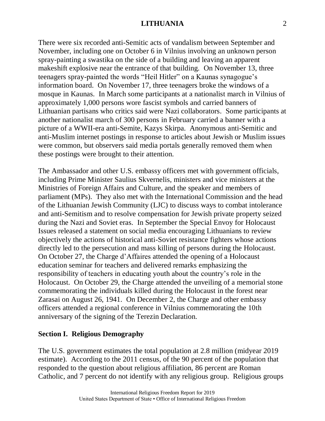There were six recorded anti-Semitic acts of vandalism between September and November, including one on October 6 in Vilnius involving an unknown person spray-painting a swastika on the side of a building and leaving an apparent makeshift explosive near the entrance of that building. On November 13, three teenagers spray-painted the words "Heil Hitler" on a Kaunas synagogue's information board. On November 17, three teenagers broke the windows of a mosque in Kaunas. In March some participants at a nationalist march in Vilnius of approximately 1,000 persons wore fascist symbols and carried banners of Lithuanian partisans who critics said were Nazi collaborators. Some participants at another nationalist march of 300 persons in February carried a banner with a picture of a WWII-era anti-Semite, Kazys Skirpa. Anonymous anti-Semitic and anti-Muslim internet postings in response to articles about Jewish or Muslim issues were common, but observers said media portals generally removed them when these postings were brought to their attention.

The Ambassador and other U.S. embassy officers met with government officials, including Prime Minister Saulius Skvernelis, ministers and vice ministers at the Ministries of Foreign Affairs and Culture, and the speaker and members of parliament (MPs). They also met with the International Commission and the head of the Lithuanian Jewish Community (LJC) to discuss ways to combat intolerance and anti-Semitism and to resolve compensation for Jewish private property seized during the Nazi and Soviet eras. In September the Special Envoy for Holocaust Issues released a statement on social media encouraging Lithuanians to review objectively the actions of historical anti-Soviet resistance fighters whose actions directly led to the persecution and mass killing of persons during the Holocaust. On October 27, the Charge d'Affaires attended the opening of a Holocaust education seminar for teachers and delivered remarks emphasizing the responsibility of teachers in educating youth about the country's role in the Holocaust. On October 29, the Charge attended the unveiling of a memorial stone commemorating the individuals killed during the Holocaust in the forest near Zarasai on August 26, 1941. On December 2, the Charge and other embassy officers attended a regional conference in Vilnius commemorating the 10th anniversary of the signing of the Terezin Declaration.

### **Section I. Religious Demography**

The U.S. government estimates the total population at 2.8 million (midyear 2019 estimate). According to the 2011 census, of the 90 percent of the population that responded to the question about religious affiliation, 86 percent are Roman Catholic, and 7 percent do not identify with any religious group. Religious groups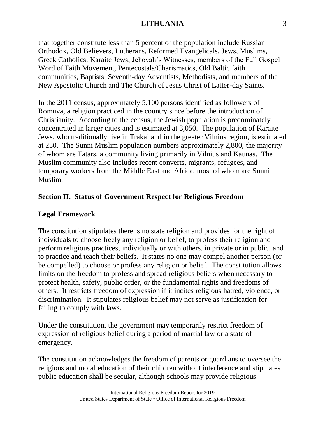that together constitute less than 5 percent of the population include Russian Orthodox, Old Believers, Lutherans, Reformed Evangelicals, Jews, Muslims, Greek Catholics, Karaite Jews, Jehovah's Witnesses, members of the Full Gospel Word of Faith Movement, Pentecostals/Charismatics, Old Baltic faith communities, Baptists, Seventh-day Adventists, Methodists, and members of the New Apostolic Church and The Church of Jesus Christ of Latter-day Saints.

In the 2011 census, approximately 5,100 persons identified as followers of Romuva, a religion practiced in the country since before the introduction of Christianity. According to the census, the Jewish population is predominately concentrated in larger cities and is estimated at 3,050. The population of Karaite Jews, who traditionally live in Trakai and in the greater Vilnius region, is estimated at 250. The Sunni Muslim population numbers approximately 2,800, the majority of whom are Tatars, a community living primarily in Vilnius and Kaunas. The Muslim community also includes recent converts, migrants, refugees, and temporary workers from the Middle East and Africa, most of whom are Sunni Muslim.

# **Section II. Status of Government Respect for Religious Freedom**

# **Legal Framework**

The constitution stipulates there is no state religion and provides for the right of individuals to choose freely any religion or belief, to profess their religion and perform religious practices, individually or with others, in private or in public, and to practice and teach their beliefs. It states no one may compel another person (or be compelled) to choose or profess any religion or belief. The constitution allows limits on the freedom to profess and spread religious beliefs when necessary to protect health, safety, public order, or the fundamental rights and freedoms of others. It restricts freedom of expression if it incites religious hatred, violence, or discrimination. It stipulates religious belief may not serve as justification for failing to comply with laws.

Under the constitution, the government may temporarily restrict freedom of expression of religious belief during a period of martial law or a state of emergency.

The constitution acknowledges the freedom of parents or guardians to oversee the religious and moral education of their children without interference and stipulates public education shall be secular, although schools may provide religious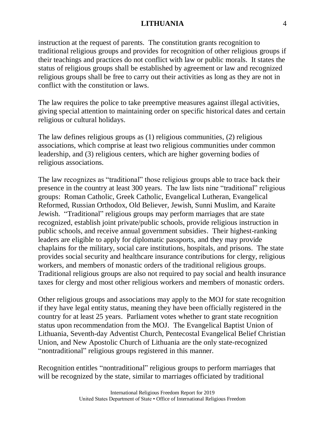instruction at the request of parents. The constitution grants recognition to traditional religious groups and provides for recognition of other religious groups if their teachings and practices do not conflict with law or public morals. It states the status of religious groups shall be established by agreement or law and recognized religious groups shall be free to carry out their activities as long as they are not in conflict with the constitution or laws.

The law requires the police to take preemptive measures against illegal activities, giving special attention to maintaining order on specific historical dates and certain religious or cultural holidays.

The law defines religious groups as (1) religious communities, (2) religious associations, which comprise at least two religious communities under common leadership, and (3) religious centers, which are higher governing bodies of religious associations.

The law recognizes as "traditional" those religious groups able to trace back their presence in the country at least 300 years. The law lists nine "traditional" religious groups: Roman Catholic, Greek Catholic, Evangelical Lutheran, Evangelical Reformed, Russian Orthodox, Old Believer, Jewish, Sunni Muslim, and Karaite Jewish. "Traditional" religious groups may perform marriages that are state recognized, establish joint private/public schools, provide religious instruction in public schools, and receive annual government subsidies. Their highest-ranking leaders are eligible to apply for diplomatic passports, and they may provide chaplains for the military, social care institutions, hospitals, and prisons. The state provides social security and healthcare insurance contributions for clergy, religious workers, and members of monastic orders of the traditional religious groups. Traditional religious groups are also not required to pay social and health insurance taxes for clergy and most other religious workers and members of monastic orders.

Other religious groups and associations may apply to the MOJ for state recognition if they have legal entity status, meaning they have been officially registered in the country for at least 25 years. Parliament votes whether to grant state recognition status upon recommendation from the MOJ. The Evangelical Baptist Union of Lithuania, Seventh-day Adventist Church, Pentecostal Evangelical Belief Christian Union, and New Apostolic Church of Lithuania are the only state-recognized "nontraditional" religious groups registered in this manner.

Recognition entitles "nontraditional" religious groups to perform marriages that will be recognized by the state, similar to marriages officiated by traditional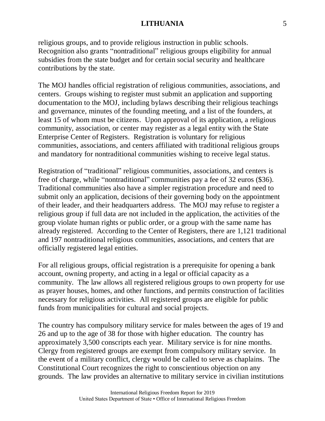religious groups, and to provide religious instruction in public schools. Recognition also grants "nontraditional" religious groups eligibility for annual subsidies from the state budget and for certain social security and healthcare contributions by the state.

The MOJ handles official registration of religious communities, associations, and centers. Groups wishing to register must submit an application and supporting documentation to the MOJ, including bylaws describing their religious teachings and governance, minutes of the founding meeting, and a list of the founders, at least 15 of whom must be citizens. Upon approval of its application, a religious community, association, or center may register as a legal entity with the State Enterprise Center of Registers. Registration is voluntary for religious communities, associations, and centers affiliated with traditional religious groups and mandatory for nontraditional communities wishing to receive legal status.

Registration of "traditional" religious communities, associations, and centers is free of charge, while "nontraditional" communities pay a fee of 32 euros (\$36). Traditional communities also have a simpler registration procedure and need to submit only an application, decisions of their governing body on the appointment of their leader, and their headquarters address. The MOJ may refuse to register a religious group if full data are not included in the application, the activities of the group violate human rights or public order, or a group with the same name has already registered. According to the Center of Registers, there are 1,121 traditional and 197 nontraditional religious communities, associations, and centers that are officially registered legal entities.

For all religious groups, official registration is a prerequisite for opening a bank account, owning property, and acting in a legal or official capacity as a community. The law allows all registered religious groups to own property for use as prayer houses, homes, and other functions, and permits construction of facilities necessary for religious activities. All registered groups are eligible for public funds from municipalities for cultural and social projects.

The country has compulsory military service for males between the ages of 19 and 26 and up to the age of 38 for those with higher education. The country has approximately 3,500 conscripts each year. Military service is for nine months. Clergy from registered groups are exempt from compulsory military service. In the event of a military conflict, clergy would be called to serve as chaplains. The Constitutional Court recognizes the right to conscientious objection on any grounds. The law provides an alternative to military service in civilian institutions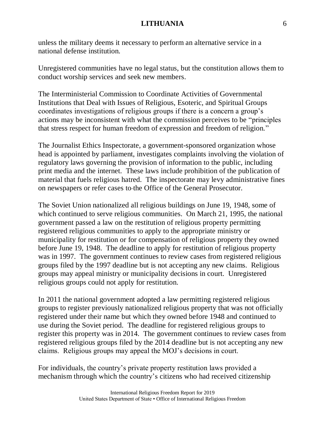unless the military deems it necessary to perform an alternative service in a national defense institution.

Unregistered communities have no legal status, but the constitution allows them to conduct worship services and seek new members.

The Interministerial Commission to Coordinate Activities of Governmental Institutions that Deal with Issues of Religious, Esoteric, and Spiritual Groups coordinates investigations of religious groups if there is a concern a group's actions may be inconsistent with what the commission perceives to be "principles that stress respect for human freedom of expression and freedom of religion."

The Journalist Ethics Inspectorate, a government-sponsored organization whose head is appointed by parliament, investigates complaints involving the violation of regulatory laws governing the provision of information to the public, including print media and the internet. These laws include prohibition of the publication of material that fuels religious hatred. The inspectorate may levy administrative fines on newspapers or refer cases to the Office of the General Prosecutor.

The Soviet Union nationalized all religious buildings on June 19, 1948, some of which continued to serve religious communities. On March 21, 1995, the national government passed a law on the restitution of religious property permitting registered religious communities to apply to the appropriate ministry or municipality for restitution or for compensation of religious property they owned before June 19, 1948. The deadline to apply for restitution of religious property was in 1997. The government continues to review cases from registered religious groups filed by the 1997 deadline but is not accepting any new claims. Religious groups may appeal ministry or municipality decisions in court. Unregistered religious groups could not apply for restitution.

In 2011 the national government adopted a law permitting registered religious groups to register previously nationalized religious property that was not officially registered under their name but which they owned before 1948 and continued to use during the Soviet period. The deadline for registered religious groups to register this property was in 2014. The government continues to review cases from registered religious groups filed by the 2014 deadline but is not accepting any new claims. Religious groups may appeal the MOJ's decisions in court.

For individuals, the country's private property restitution laws provided a mechanism through which the country's citizens who had received citizenship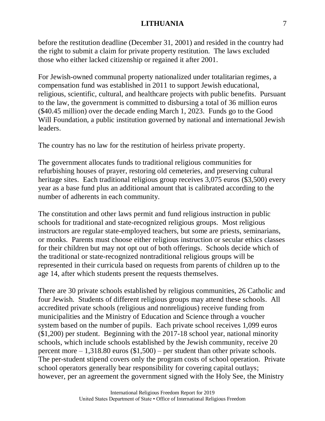before the restitution deadline (December 31, 2001) and resided in the country had the right to submit a claim for private property restitution. The laws excluded those who either lacked citizenship or regained it after 2001.

For Jewish-owned communal property nationalized under totalitarian regimes, a compensation fund was established in 2011 to support Jewish educational, religious, scientific, cultural, and healthcare projects with public benefits. Pursuant to the law, the government is committed to disbursing a total of 36 million euros (\$40.45 million) over the decade ending March 1, 2023. Funds go to the Good Will Foundation, a public institution governed by national and international Jewish leaders.

The country has no law for the restitution of heirless private property.

The government allocates funds to traditional religious communities for refurbishing houses of prayer, restoring old cemeteries, and preserving cultural heritage sites. Each traditional religious group receives 3,075 euros (\$3,500) every year as a base fund plus an additional amount that is calibrated according to the number of adherents in each community.

The constitution and other laws permit and fund religious instruction in public schools for traditional and state-recognized religious groups. Most religious instructors are regular state-employed teachers, but some are priests, seminarians, or monks. Parents must choose either religious instruction or secular ethics classes for their children but may not opt out of both offerings. Schools decide which of the traditional or state-recognized nontraditional religious groups will be represented in their curricula based on requests from parents of children up to the age 14, after which students present the requests themselves.

There are 30 private schools established by religious communities, 26 Catholic and four Jewish. Students of different religious groups may attend these schools. All accredited private schools (religious and nonreligious) receive funding from municipalities and the Ministry of Education and Science through a voucher system based on the number of pupils. Each private school receives 1,099 euros (\$1,200) per student. Beginning with the 2017-18 school year, national minority schools, which include schools established by the Jewish community, receive 20 percent more  $-1,318.80$  euros  $(\$1,500)$  – per student than other private schools. The per-student stipend covers only the program costs of school operation. Private school operators generally bear responsibility for covering capital outlays; however, per an agreement the government signed with the Holy See, the Ministry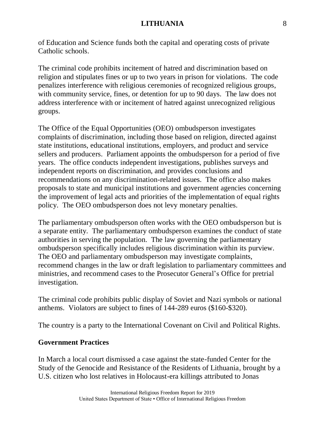of Education and Science funds both the capital and operating costs of private Catholic schools.

The criminal code prohibits incitement of hatred and discrimination based on religion and stipulates fines or up to two years in prison for violations. The code penalizes interference with religious ceremonies of recognized religious groups, with community service, fines, or detention for up to 90 days. The law does not address interference with or incitement of hatred against unrecognized religious groups.

The Office of the Equal Opportunities (OEO) ombudsperson investigates complaints of discrimination, including those based on religion, directed against state institutions, educational institutions, employers, and product and service sellers and producers. Parliament appoints the ombudsperson for a period of five years. The office conducts independent investigations, publishes surveys and independent reports on discrimination, and provides conclusions and recommendations on any discrimination-related issues. The office also makes proposals to state and municipal institutions and government agencies concerning the improvement of legal acts and priorities of the implementation of equal rights policy. The OEO ombudsperson does not levy monetary penalties.

The parliamentary ombudsperson often works with the OEO ombudsperson but is a separate entity. The parliamentary ombudsperson examines the conduct of state authorities in serving the population. The law governing the parliamentary ombudsperson specifically includes religious discrimination within its purview. The OEO and parliamentary ombudsperson may investigate complaints, recommend changes in the law or draft legislation to parliamentary committees and ministries, and recommend cases to the Prosecutor General's Office for pretrial investigation.

The criminal code prohibits public display of Soviet and Nazi symbols or national anthems. Violators are subject to fines of 144-289 euros (\$160-\$320).

The country is a party to the International Covenant on Civil and Political Rights.

### **Government Practices**

In March a local court dismissed a case against the state-funded Center for the Study of the Genocide and Resistance of the Residents of Lithuania, brought by a U.S. citizen who lost relatives in Holocaust-era killings attributed to Jonas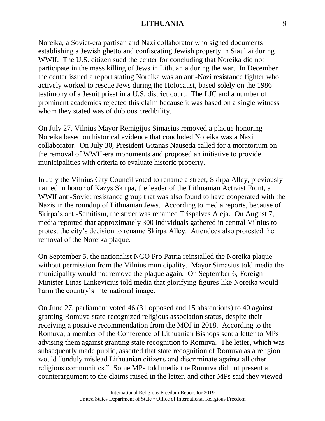Noreika, a Soviet-era partisan and Nazi collaborator who signed documents establishing a Jewish ghetto and confiscating Jewish property in Siauliai during WWII. The U.S. citizen sued the center for concluding that Noreika did not participate in the mass killing of Jews in Lithuania during the war. In December the center issued a report stating Noreika was an anti-Nazi resistance fighter who actively worked to rescue Jews during the Holocaust, based solely on the 1986 testimony of a Jesuit priest in a U.S. district court. The LJC and a number of prominent academics rejected this claim because it was based on a single witness whom they stated was of dubious credibility.

On July 27, Vilnius Mayor Remigijus Simasius removed a plaque honoring Noreika based on historical evidence that concluded Noreika was a Nazi collaborator. On July 30, President Gitanas Nauseda called for a moratorium on the removal of WWII-era monuments and proposed an initiative to provide municipalities with criteria to evaluate historic property.

In July the Vilnius City Council voted to rename a street, Skirpa Alley, previously named in honor of Kazys Skirpa, the leader of the Lithuanian Activist Front, a WWII anti-Soviet resistance group that was also found to have cooperated with the Nazis in the roundup of Lithuanian Jews. According to media reports, because of Skirpa's anti-Semitism, the street was renamed Trispalves Aleja. On August 7, media reported that approximately 300 individuals gathered in central Vilnius to protest the city's decision to rename Skirpa Alley. Attendees also protested the removal of the Noreika plaque.

On September 5, the nationalist NGO Pro Patria reinstalled the Noreika plaque without permission from the Vilnius municipality. Mayor Simasius told media the municipality would not remove the plaque again. On September 6, Foreign Minister Linas Linkevicius told media that glorifying figures like Noreika would harm the country's international image.

On June 27, parliament voted 46 (31 opposed and 15 abstentions) to 40 against granting Romuva state-recognized religious association status, despite their receiving a positive recommendation from the MOJ in 2018. According to the Romuva, a member of the Conference of Lithuanian Bishops sent a letter to MPs advising them against granting state recognition to Romuva. The letter, which was subsequently made public, asserted that state recognition of Romuva as a religion would "unduly mislead Lithuanian citizens and discriminate against all other religious communities." Some MPs told media the Romuva did not present a counterargument to the claims raised in the letter, and other MPs said they viewed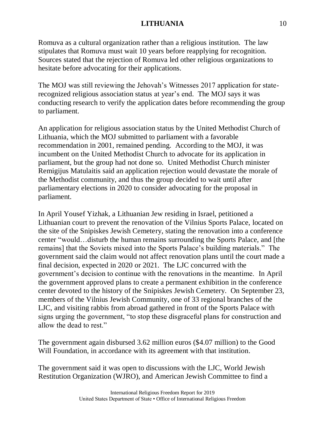Romuva as a cultural organization rather than a religious institution. The law stipulates that Romuva must wait 10 years before reapplying for recognition. Sources stated that the rejection of Romuva led other religious organizations to hesitate before advocating for their applications.

The MOJ was still reviewing the Jehovah's Witnesses 2017 application for staterecognized religious association status at year's end. The MOJ says it was conducting research to verify the application dates before recommending the group to parliament.

An application for religious association status by the United Methodist Church of Lithuania, which the MOJ submitted to parliament with a favorable recommendation in 2001, remained pending. According to the MOJ, it was incumbent on the United Methodist Church to advocate for its application in parliament, but the group had not done so. United Methodist Church minister Remigijus Matulaitis said an application rejection would devastate the morale of the Methodist community, and thus the group decided to wait until after parliamentary elections in 2020 to consider advocating for the proposal in parliament.

In April Yousef Yizhak, a Lithuanian Jew residing in Israel, petitioned a Lithuanian court to prevent the renovation of the Vilnius Sports Palace, located on the site of the Snipiskes Jewish Cemetery, stating the renovation into a conference center "would…disturb the human remains surrounding the Sports Palace, and [the remains] that the Soviets mixed into the Sports Palace's building materials." The government said the claim would not affect renovation plans until the court made a final decision, expected in 2020 or 2021. The LJC concurred with the government's decision to continue with the renovations in the meantime. In April the government approved plans to create a permanent exhibition in the conference center devoted to the history of the Snipiskes Jewish Cemetery. On September 23, members of the Vilnius Jewish Community, one of 33 regional branches of the LJC, and visiting rabbis from abroad gathered in front of the Sports Palace with signs urging the government, "to stop these disgraceful plans for construction and allow the dead to rest."

The government again disbursed 3.62 million euros (\$4.07 million) to the Good Will Foundation, in accordance with its agreement with that institution.

The government said it was open to discussions with the LJC, World Jewish Restitution Organization (WJRO), and American Jewish Committee to find a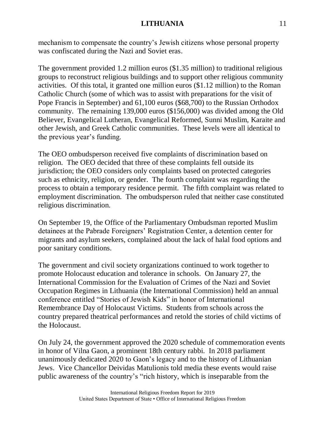mechanism to compensate the country's Jewish citizens whose personal property was confiscated during the Nazi and Soviet eras.

The government provided 1.2 million euros (\$1.35 million) to traditional religious groups to reconstruct religious buildings and to support other religious community activities. Of this total, it granted one million euros (\$1.12 million) to the Roman Catholic Church (some of which was to assist with preparations for the visit of Pope Francis in September) and 61,100 euros (\$68,700) to the Russian Orthodox community. The remaining 139,000 euros (\$156,000) was divided among the Old Believer, Evangelical Lutheran, Evangelical Reformed, Sunni Muslim, Karaite and other Jewish, and Greek Catholic communities. These levels were all identical to the previous year's funding.

The OEO ombudsperson received five complaints of discrimination based on religion. The OEO decided that three of these complaints fell outside its jurisdiction; the OEO considers only complaints based on protected categories such as ethnicity, religion, or gender. The fourth complaint was regarding the process to obtain a temporary residence permit. The fifth complaint was related to employment discrimination. The ombudsperson ruled that neither case constituted religious discrimination.

On September 19, the Office of the Parliamentary Ombudsman reported Muslim detainees at the Pabrade Foreigners' Registration Center, a detention center for migrants and asylum seekers, complained about the lack of halal food options and poor sanitary conditions.

The government and civil society organizations continued to work together to promote Holocaust education and tolerance in schools. On January 27, the International Commission for the Evaluation of Crimes of the Nazi and Soviet Occupation Regimes in Lithuania (the International Commission) held an annual conference entitled "Stories of Jewish Kids" in honor of International Remembrance Day of Holocaust Victims. Students from schools across the country prepared theatrical performances and retold the stories of child victims of the Holocaust.

On July 24, the government approved the 2020 schedule of commemoration events in honor of Vilna Gaon, a prominent 18th century rabbi. In 2018 parliament unanimously dedicated 2020 to Gaon's legacy and to the history of Lithuanian Jews. Vice Chancellor Deividas Matulionis told media these events would raise public awareness of the country's "rich history, which is inseparable from the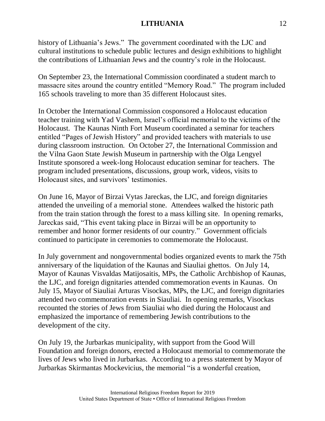history of Lithuania's Jews." The government coordinated with the LJC and cultural institutions to schedule public lectures and design exhibitions to highlight the contributions of Lithuanian Jews and the country's role in the Holocaust.

On September 23, the International Commission coordinated a student march to massacre sites around the country entitled "Memory Road." The program included 165 schools traveling to more than 35 different Holocaust sites.

In October the International Commission cosponsored a Holocaust education teacher training with Yad Vashem, Israel's official memorial to the victims of the Holocaust. The Kaunas Ninth Fort Museum coordinated a seminar for teachers entitled "Pages of Jewish History" and provided teachers with materials to use during classroom instruction. On October 27, the International Commission and the Vilna Gaon State Jewish Museum in partnership with the Olga Lengyel Institute sponsored a week-long Holocaust education seminar for teachers. The program included presentations, discussions, group work, videos, visits to Holocaust sites, and survivors' testimonies.

On June 16, Mayor of Birzai Vytas Jareckas, the LJC, and foreign dignitaries attended the unveiling of a memorial stone. Attendees walked the historic path from the train station through the forest to a mass killing site. In opening remarks, Jareckas said, "This event taking place in Birzai will be an opportunity to remember and honor former residents of our country." Government officials continued to participate in ceremonies to commemorate the Holocaust.

In July government and nongovernmental bodies organized events to mark the 75th anniversary of the liquidation of the Kaunas and Siauliai ghettos. On July 14, Mayor of Kaunas Visvaldas Matijosaitis, MPs, the Catholic Archbishop of Kaunas, the LJC, and foreign dignitaries attended commemoration events in Kaunas. On July 15, Mayor of Siauliai Arturas Visockas, MPs, the LJC, and foreign dignitaries attended two commemoration events in Siauliai. In opening remarks, Visockas recounted the stories of Jews from Siauliai who died during the Holocaust and emphasized the importance of remembering Jewish contributions to the development of the city.

On July 19, the Jurbarkas municipality, with support from the Good Will Foundation and foreign donors, erected a Holocaust memorial to commemorate the lives of Jews who lived in Jurbarkas. According to a press statement by Mayor of Jurbarkas Skirmantas Mockevicius, the memorial "is a wonderful creation,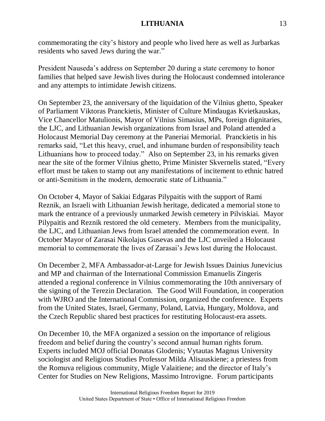commemorating the city's history and people who lived here as well as Jurbarkas residents who saved Jews during the war."

President Nauseda's address on September 20 during a state ceremony to honor families that helped save Jewish lives during the Holocaust condemned intolerance and any attempts to intimidate Jewish citizens.

On September 23, the anniversary of the liquidation of the Vilnius ghetto, Speaker of Parliament Viktoras Pranckietis, Minister of Culture Mindaugas Kvietkauskas, Vice Chancellor Matulionis, Mayor of Vilnius Simasius, MPs, foreign dignitaries, the LJC, and Lithuanian Jewish organizations from Israel and Poland attended a Holocaust Memorial Day ceremony at the Paneriai Memorial. Pranckietis in his remarks said, "Let this heavy, cruel, and inhumane burden of responsibility teach Lithuanians how to proceed today." Also on September 23, in his remarks given near the site of the former Vilnius ghetto, Prime Minister Skvernelis stated, "Every effort must be taken to stamp out any manifestations of incitement to ethnic hatred or anti-Semitism in the modern, democratic state of Lithuania."

On October 4, Mayor of Sakiai Edgaras Pilypaitis with the support of Rami Reznik, an Israeli with Lithuanian Jewish heritage, dedicated a memorial stone to mark the entrance of a previously unmarked Jewish cemetery in Pilviskiai. Mayor Pilypaitis and Reznik restored the old cemetery. Members from the municipality, the LJC, and Lithuanian Jews from Israel attended the commemoration event. In October Mayor of Zarasai Nikolajus Gusevas and the LJC unveiled a Holocaust memorial to commemorate the lives of Zarasai's Jews lost during the Holocaust.

On December 2, MFA Ambassador-at-Large for Jewish Issues Dainius Junevicius and MP and chairman of the International Commission Emanuelis Zingeris attended a regional conference in Vilnius commemorating the 10th anniversary of the signing of the Terezin Declaration. The Good Will Foundation, in cooperation with WJRO and the International Commission, organized the conference. Experts from the United States, Israel, Germany, Poland, Latvia, Hungary, Moldova, and the Czech Republic shared best practices for restituting Holocaust-era assets.

On December 10, the MFA organized a session on the importance of religious freedom and belief during the country's second annual human rights forum. Experts included MOJ official Donatas Glodenis; Vytautas Magnus University sociologist and Religious Studies Professor Milda Alisauskiene; a priestess from the Romuva religious community, Migle Valaitiene; and the director of Italy's Center for Studies on New Religions, Massimo Introvigne. Forum participants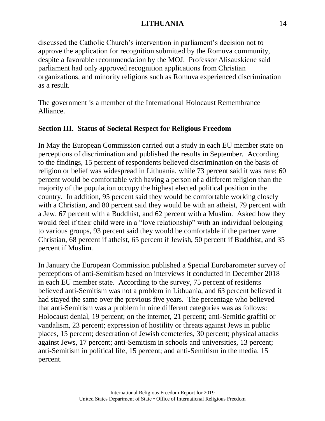discussed the Catholic Church's intervention in parliament's decision not to approve the application for recognition submitted by the Romuva community, despite a favorable recommendation by the MOJ. Professor Alisauskiene said parliament had only approved recognition applications from Christian organizations, and minority religions such as Romuva experienced discrimination as a result.

The government is a member of the International Holocaust Remembrance Alliance.

# **Section III. Status of Societal Respect for Religious Freedom**

In May the European Commission carried out a study in each EU member state on perceptions of discrimination and published the results in September. According to the findings, 15 percent of respondents believed discrimination on the basis of religion or belief was widespread in Lithuania, while 73 percent said it was rare; 60 percent would be comfortable with having a person of a different religion than the majority of the population occupy the highest elected political position in the country. In addition, 95 percent said they would be comfortable working closely with a Christian, and 80 percent said they would be with an atheist, 79 percent with a Jew, 67 percent with a Buddhist, and 62 percent with a Muslim. Asked how they would feel if their child were in a "love relationship" with an individual belonging to various groups, 93 percent said they would be comfortable if the partner were Christian, 68 percent if atheist, 65 percent if Jewish, 50 percent if Buddhist, and 35 percent if Muslim.

In January the European Commission published a Special Eurobarometer survey of perceptions of anti-Semitism based on interviews it conducted in December 2018 in each EU member state. According to the survey, 75 percent of residents believed anti-Semitism was not a problem in Lithuania, and 63 percent believed it had stayed the same over the previous five years. The percentage who believed that anti-Semitism was a problem in nine different categories was as follows: Holocaust denial, 19 percent; on the internet, 21 percent; anti-Semitic graffiti or vandalism, 23 percent; expression of hostility or threats against Jews in public places, 15 percent; desecration of Jewish cemeteries, 30 percent; physical attacks against Jews, 17 percent; anti-Semitism in schools and universities, 13 percent; anti-Semitism in political life, 15 percent; and anti-Semitism in the media, 15 percent.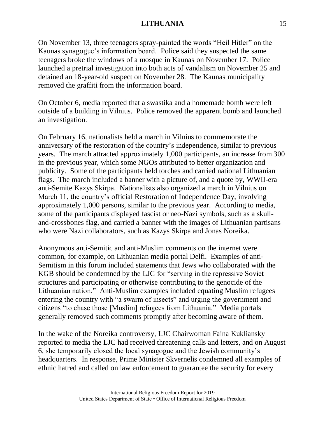On November 13, three teenagers spray-painted the words "Heil Hitler" on the Kaunas synagogue's information board. Police said they suspected the same teenagers broke the windows of a mosque in Kaunas on November 17. Police launched a pretrial investigation into both acts of vandalism on November 25 and detained an 18-year-old suspect on November 28. The Kaunas municipality removed the graffiti from the information board.

On October 6, media reported that a swastika and a homemade bomb were left outside of a building in Vilnius. Police removed the apparent bomb and launched an investigation.

On February 16, nationalists held a march in Vilnius to commemorate the anniversary of the restoration of the country's independence, similar to previous years. The march attracted approximately 1,000 participants, an increase from 300 in the previous year, which some NGOs attributed to better organization and publicity. Some of the participants held torches and carried national Lithuanian flags. The march included a banner with a picture of, and a quote by, WWII-era anti-Semite Kazys Skirpa. Nationalists also organized a march in Vilnius on March 11, the country's official Restoration of Independence Day, involving approximately 1,000 persons, similar to the previous year. According to media, some of the participants displayed fascist or neo-Nazi symbols, such as a skulland-crossbones flag, and carried a banner with the images of Lithuanian partisans who were Nazi collaborators, such as Kazys Skirpa and Jonas Noreika.

Anonymous anti-Semitic and anti-Muslim comments on the internet were common, for example, on Lithuanian media portal Delfi. Examples of anti-Semitism in this forum included statements that Jews who collaborated with the KGB should be condemned by the LJC for "serving in the repressive Soviet structures and participating or otherwise contributing to the genocide of the Lithuanian nation." Anti-Muslim examples included equating Muslim refugees entering the country with "a swarm of insects" and urging the government and citizens "to chase those [Muslim] refugees from Lithuania." Media portals generally removed such comments promptly after becoming aware of them.

In the wake of the Noreika controversy, LJC Chairwoman Faina Kukliansky reported to media the LJC had received threatening calls and letters, and on August 6, she temporarily closed the local synagogue and the Jewish community's headquarters. In response, Prime Minister Skvernelis condemned all examples of ethnic hatred and called on law enforcement to guarantee the security for every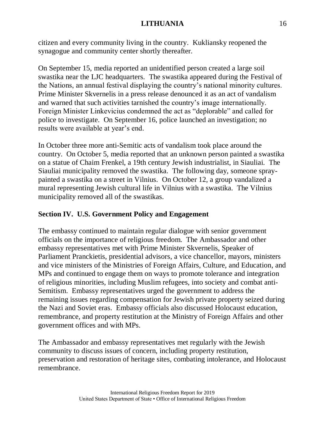citizen and every community living in the country. Kukliansky reopened the synagogue and community center shortly thereafter.

On September 15, media reported an unidentified person created a large soil swastika near the LJC headquarters. The swastika appeared during the Festival of the Nations, an annual festival displaying the country's national minority cultures. Prime Minister Skvernelis in a press release denounced it as an act of vandalism and warned that such activities tarnished the country's image internationally. Foreign Minister Linkevicius condemned the act as "deplorable" and called for police to investigate. On September 16, police launched an investigation; no results were available at year's end.

In October three more anti-Semitic acts of vandalism took place around the country. On October 5, media reported that an unknown person painted a swastika on a statue of Chaim Frenkel, a 19th century Jewish industrialist, in Siauliai. The Siauliai municipality removed the swastika. The following day, someone spraypainted a swastika on a street in Vilnius. On October 12, a group vandalized a mural representing Jewish cultural life in Vilnius with a swastika. The Vilnius municipality removed all of the swastikas.

# **Section IV. U.S. Government Policy and Engagement**

The embassy continued to maintain regular dialogue with senior government officials on the importance of religious freedom. The Ambassador and other embassy representatives met with Prime Minister Skvernelis, Speaker of Parliament Pranckietis, presidential advisors, a vice chancellor, mayors, ministers and vice ministers of the Ministries of Foreign Affairs, Culture, and Education, and MPs and continued to engage them on ways to promote tolerance and integration of religious minorities, including Muslim refugees, into society and combat anti-Semitism. Embassy representatives urged the government to address the remaining issues regarding compensation for Jewish private property seized during the Nazi and Soviet eras. Embassy officials also discussed Holocaust education, remembrance, and property restitution at the Ministry of Foreign Affairs and other government offices and with MPs.

The Ambassador and embassy representatives met regularly with the Jewish community to discuss issues of concern, including property restitution, preservation and restoration of heritage sites, combating intolerance, and Holocaust remembrance.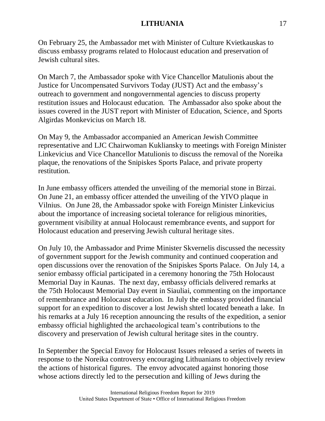On February 25, the Ambassador met with Minister of Culture Kvietkauskas to discuss embassy programs related to Holocaust education and preservation of Jewish cultural sites.

On March 7, the Ambassador spoke with Vice Chancellor Matulionis about the Justice for Uncompensated Survivors Today (JUST) Act and the embassy's outreach to government and nongovernmental agencies to discuss property restitution issues and Holocaust education. The Ambassador also spoke about the issues covered in the JUST report with Minister of Education, Science, and Sports Algirdas Monkevicius on March 18.

On May 9, the Ambassador accompanied an American Jewish Committee representative and LJC Chairwoman Kukliansky to meetings with Foreign Minister Linkevicius and Vice Chancellor Matulionis to discuss the removal of the Noreika plaque, the renovations of the Snipiskes Sports Palace, and private property restitution.

In June embassy officers attended the unveiling of the memorial stone in Birzai. On June 21, an embassy officer attended the unveiling of the YIVO plaque in Vilnius. On June 28, the Ambassador spoke with Foreign Minister Linkevicius about the importance of increasing societal tolerance for religious minorities, government visibility at annual Holocaust remembrance events, and support for Holocaust education and preserving Jewish cultural heritage sites.

On July 10, the Ambassador and Prime Minister Skvernelis discussed the necessity of government support for the Jewish community and continued cooperation and open discussions over the renovation of the Snipiskes Sports Palace. On July 14, a senior embassy official participated in a ceremony honoring the 75th Holocaust Memorial Day in Kaunas. The next day, embassy officials delivered remarks at the 75th Holocaust Memorial Day event in Siauliai, commenting on the importance of remembrance and Holocaust education. In July the embassy provided financial support for an expedition to discover a lost Jewish shtetl located beneath a lake. In his remarks at a July 16 reception announcing the results of the expedition, a senior embassy official highlighted the archaeological team's contributions to the discovery and preservation of Jewish cultural heritage sites in the country.

In September the Special Envoy for Holocaust Issues released a series of tweets in response to the Noreika controversy encouraging Lithuanians to objectively review the actions of historical figures. The envoy advocated against honoring those whose actions directly led to the persecution and killing of Jews during the